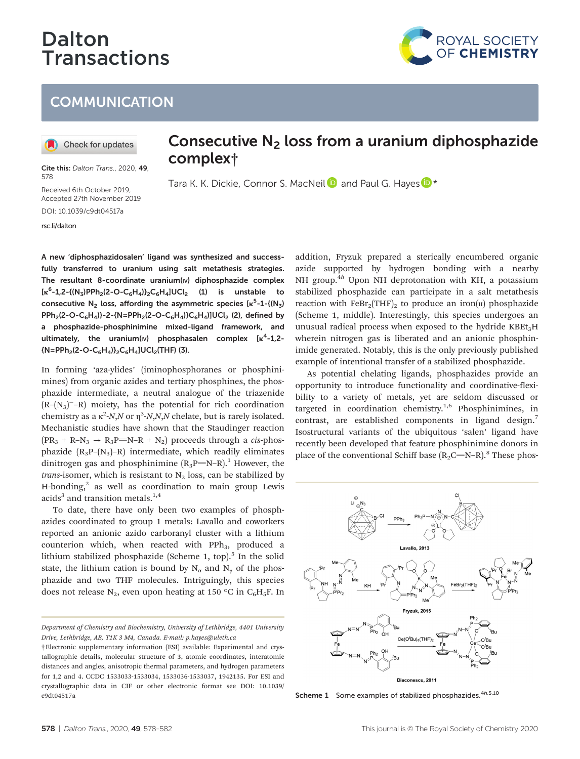# Dalton **Transactions**



Check for updates

Cite this: Dalton Trans., 2020, 49, 578

Received 6th October 2019, Accepted 27th November 2019 DOI: 10.1039/c9dt04517a

[rsc.li/dalton](www.rsc.li/dalton)

# Consecutive  $N_2$  loss from a uranium diphosphazide complex†

Tara K. K. Dickie, Connor S. MacNeil and Paul G. Hayes  $\mathbb{D}^*$ 

A new 'diphosphazidosalen' ligand was synthesized and successfully transferred to uranium using salt metathesis strategies. The resultant 8-coordinate uranium(v) diphosphazide complex  $\kappa^6$ -1,2-{(N<sub>3</sub>)PPh<sub>2</sub>(2-O-C<sub>6</sub>H<sub>4</sub>)}<sub>2</sub>C<sub>6</sub>H<sub>4</sub>]UCl<sub>2</sub> (1) is unstable to consecutive  $N_2$  loss, affording the asymmetric species  $\kappa^5$ -1-{( $N_3$ )  $PPh_2(2-O-C_6H_4)$ }-2-{N=PPh<sub>2</sub>(2-O-C<sub>6</sub>H<sub>4</sub>)}C<sub>6</sub>H<sub>4</sub>)]UCl<sub>2</sub> (2), defined by a phosphazide-phosphinimine mixed-ligand framework, and ultimately, the uranium( $|v\rangle$  phosphasalen complex [ $\kappa^4$ -1,2- ${N=PPh_2(2-O-C_6H_4)}_2C_6H_4]UCl_2$ (THF) (3).

In forming 'aza-ylides' (iminophosphoranes or phosphinimines) from organic azides and tertiary phosphines, the phosphazide intermediate, a neutral analogue of the triazenide  $(R-(N_3)^-R)$  moiety, has the potential for rich coordination chemistry as a  $\kappa^2$ -N,N or  $\eta^3$ -N,N,N chelate, but is rarely isolated. Mechanistic studies have shown that the Staudinger reaction  $(PR<sub>3</sub> + R-N<sub>3</sub> \rightarrow R<sub>3</sub>P=NA + N<sub>2</sub>)$  proceeds through a *cis*-phosphazide  $(R_3P-(N_3)-R)$  intermediate, which readily eliminates dinitrogen gas and phosphinimine  $(R_3P=N-R)$ .<sup>1</sup> However, the *trans*-isomer, which is resistant to  $N_2$  loss, can be stabilized by H-bonding, $^2$  as well as coordination to main group Lewis acids<sup>3</sup> and transition metals.<sup>1,4</sup>

To date, there have only been two examples of phosphazides coordinated to group 1 metals: Lavallo and coworkers reported an anionic azido carboranyl cluster with a lithium counterion which, when reacted with PPh<sub>3</sub>, produced a lithium stabilized phosphazide (Scheme 1, top). $5$  In the solid state, the lithium cation is bound by  $N_\alpha$  and  $N_\gamma$  of the phosphazide and two THF molecules. Intriguingly, this species does not release N<sub>2</sub>, even upon heating at 150 °C in C<sub>6</sub>H<sub>5</sub>F. In

Department of Chemistry and Biochemistry, University of Lethbridge, 4401 University Drive, Lethbridge, AB, T1K 3 M4, Canada. E-mail: p.hayes@uleth.ca

addition, Fryzuk prepared a sterically encumbered organic azide supported by hydrogen bonding with a nearby NH group.<sup>4h</sup> Upon NH deprotonation with KH, a potassium stabilized phosphazide can participate in a salt metathesis reaction with  $FeBr_2(THF)_2$  to produce an iron(II) phosphazide (Scheme 1, middle). Interestingly, this species undergoes an unusual radical process when exposed to the hydride KBEt<sub>3</sub>H wherein nitrogen gas is liberated and an anionic phosphinimide generated. Notably, this is the only previously published example of intentional transfer of a stabilized phosphazide.

ROYAL SOCIETY<br>OF CHEMISTRY

As potential chelating ligands, phosphazides provide an opportunity to introduce functionality and coordinative-flexibility to a variety of metals, yet are seldom discussed or targeted in coordination chemistry.<sup>1,6</sup> Phosphinimines, in contrast, are established components in ligand design.<sup>7</sup> Isostructural variants of the ubiquitous 'salen' ligand have recently been developed that feature phosphinimine donors in place of the conventional Schiff base  $(R_2C=N-R)$ .<sup>8</sup> These phos-



Scheme 1 Some examples of stabilized phosphazides.<sup>4h,5,10</sup>

<sup>†</sup>Electronic supplementary information (ESI) available: Experimental and crystallographic details, molecular structure of 3, atomic coordinates, interatomic distances and angles, anisotropic thermal parameters, and hydrogen parameters for 1,2 and 4. CCDC 1533033-1533034, 1533036-1533037, 1942135. For ESI and crystallographic data in CIF or other electronic format see DOI: 10.1039/ c9dt04517a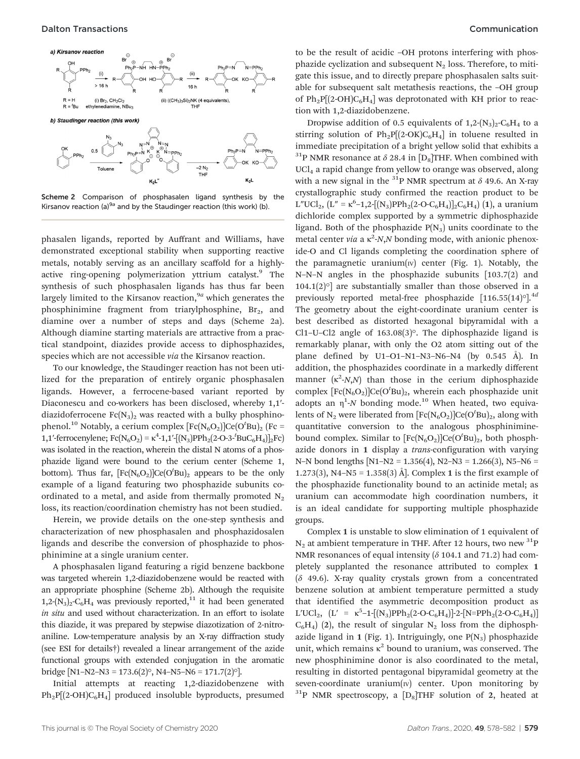

Scheme 2 Comparison of phosphasalen ligand synthesis by the Kirsanov reaction (a) $^{9a}$  and by the Staudinger reaction (this work) (b).

K<sub>2</sub>L

K<sub>2</sub>L

phasalen ligands, reported by Auffrant and Williams, have demonstrated exceptional stability when supporting reactive metals, notably serving as an ancillary scaffold for a highlyactive ring-opening polymerization yttrium catalyst.<sup>9</sup> The synthesis of such phosphasalen ligands has thus far been largely limited to the Kirsanov reaction,  $9a$  which generates the phosphinimine fragment from triarylphosphine,  $Br<sub>2</sub>$ , and diamine over a number of steps and days (Scheme 2a). Although diamine starting materials are attractive from a practical standpoint, diazides provide access to diphosphazides, species which are not accessible via the Kirsanov reaction.

To our knowledge, the Staudinger reaction has not been utilized for the preparation of entirely organic phosphasalen ligands. However, a ferrocene-based variant reported by Diaconescu and co-workers has been disclosed, whereby 1,1′ diazidoferrocene  $Fc(N_3)$ , was reacted with a bulky phosphinophenol. $^{10}$  Notably, a cerium complex [Fc(N<sub>6</sub>O<sub>2</sub>)]Ce(O<sup>t</sup>Bu)<sub>2</sub> (Fc = 1,1'-ferrocenylene; Fc(N<sub>6</sub>O<sub>2</sub>) = κ<sup>4</sup>-1,1'-[(N<sub>3</sub>)PPh<sub>2</sub>(2-O-3<sup>-t</sup>BuC<sub>6</sub>H<sub>4</sub>)]<sub>2</sub>Fc) was isolated in the reaction, wherein the distal N atoms of a phosphazide ligand were bound to the cerium center (Scheme 1, bottom). Thus far,  $[Fe(N_6O_2)]Ce(O<sup>t</sup>Bu)<sub>2</sub>$  appears to be the only example of a ligand featuring two phosphazide subunits coordinated to a metal, and aside from thermally promoted  $N_2$ loss, its reaction/coordination chemistry has not been studied.

Herein, we provide details on the one-step synthesis and characterization of new phosphasalen and phosphazidosalen ligands and describe the conversion of phosphazide to phosphinimine at a single uranium center.

A phosphasalen ligand featuring a rigid benzene backbone was targeted wherein 1,2-diazidobenzene would be reacted with an appropriate phosphine (Scheme 2b). Although the requisite  $1,2-(N_3)_2-C_6H_4$  was previously reported,<sup>11</sup> it had been generated in situ and used without characterization. In an effort to isolate this diazide, it was prepared by stepwise diazotization of 2-nitroaniline. Low-temperature analysis by an X-ray diffraction study (see ESI for details†) revealed a linear arrangement of the azide functional groups with extended conjugation in the aromatic bridge [N1–N2–N3 = 173.6(2) $^{\circ}$ , N4–N5–N6 = 171.7(2) $^{\circ}$ ].

Initial attempts at reacting 1,2-diazidobenzene with  $Ph_2P[(2-OH)C_6H_4]$  produced insoluble byproducts, presumed to be the result of acidic –OH protons interfering with phosphazide cyclization and subsequent  $N_2$  loss. Therefore, to mitigate this issue, and to directly prepare phosphasalen salts suitable for subsequent salt metathesis reactions, the –OH group of  $Ph_2P[(2-OH)C_6H_4]$  was deprotonated with KH prior to reaction with 1,2-diazidobenzene.

Dropwise addition of 0.5 equivalents of  $1,2-(N_3)_2-C_6H_4$  to a stirring solution of  $Ph_2P[(2-OK)C_6H_4]$  in toluene resulted in immediate precipitation of a bright yellow solid that exhibits a <sup>31</sup>P NMR resonance at  $\delta$  28.4 in [D<sub>8</sub>]THF. When combined with  $\text{UCL}_4$  a rapid change from yellow to orange was observed, along with a new signal in the  $^{31}P$  NMR spectrum at  $\delta$  49.6. An X-ray crystallographic study confirmed the reaction product to be  $L''UCl_2$ ,  $(L'' = \kappa^6 - 1,2 - [(N_3)PPh_2(2-O-C_6H_4)]_2C_6H_4)$  (1), a uranium dichloride complex supported by a symmetric diphosphazide ligand. Both of the phosphazide  $P(N_3)$  units coordinate to the metal center via a  $\kappa^2$ -N,N bonding mode, with anionic phenoxide-O and Cl ligands completing the coordination sphere of the paramagnetic uranium( $\text{iv}$ ) center (Fig. 1). Notably, the N–N–N angles in the phosphazide subunits [103.7(2) and  $104.1(2)$ <sup>o</sup>] are substantially smaller than those observed in a previously reported metal-free phosphazide  $[116.55(14)$ <sup>o</sup>].<sup>4d</sup> The geometry about the eight-coordinate uranium center is best described as distorted hexagonal bipyramidal with a Cl1–U–Cl2 angle of 163.08(3)°. The diphosphazide ligand is remarkably planar, with only the O2 atom sitting out of the plane defined by U1–O1–N1–N3–N6–N4 (by 0.545 Å). In addition, the phosphazides coordinate in a markedly different manner  $(\kappa^2 - N, N)$  than those in the cerium diphosphazide complex  $[Fe(N_6O_2)]Ce(O^tBu)_2$ , wherein each phosphazide unit adopts an  $\eta$ <sup>1</sup>-N bonding mode.<sup>10</sup> When heated, two equivalents of N<sub>2</sub> were liberated from  $[{\rm Fe}({\rm N}_6{\rm O}_2)]{\rm Ce}({\rm O}^t{\rm Bu})_2$ , along with quantitative conversion to the analogous phosphiniminebound complex. Similar to  $[Fe(N_6O_2)]Ce(O^tBu)_2$ , both phosphazide donors in 1 display a *trans*-configuration with varying N–N bond lengths [N1–N2 = 1.356(4), N2–N3 = 1.266(3), N5–N6 = 1.273(3), N4–N5 = 1.358(3) Å]. Complex 1 is the first example of the phosphazide functionality bound to an actinide metal; as uranium can accommodate high coordination numbers, it is an ideal candidate for supporting multiple phosphazide groups.

Complex 1 is unstable to slow elimination of 1 equivalent of  $N_2$  at ambient temperature in THF. After 12 hours, two new  ${}^{31}P$ NMR resonances of equal intensity ( $\delta$  104.1 and 71.2) had completely supplanted the resonance attributed to complex 1  $(6 49.6)$ . X-ray quality crystals grown from a concentrated benzene solution at ambient temperature permitted a study that identified the asymmetric decomposition product as L'UCl<sub>2</sub>,  $[L' = \kappa^5 - 1 - [(N_3)PPh_2(2-O-C_6H_4)] - 2 - [N=PPh_2(2-O-C_6H_4)]$  $C_6H_4$ ) (2), the result of singular N<sub>2</sub> loss from the diphosphazide ligand in 1 (Fig. 1). Intriguingly, one  $P(N_3)$  phosphazide unit, which remains  $\kappa^2$  bound to uranium, was conserved. The new phosphinimine donor is also coordinated to the metal, resulting in distorted pentagonal bipyramidal geometry at the seven-coordinate uranium $(w)$  center. Upon monitoring by  $31P$  NMR spectroscopy, a  $[D_8]$ THF solution of 2, heated at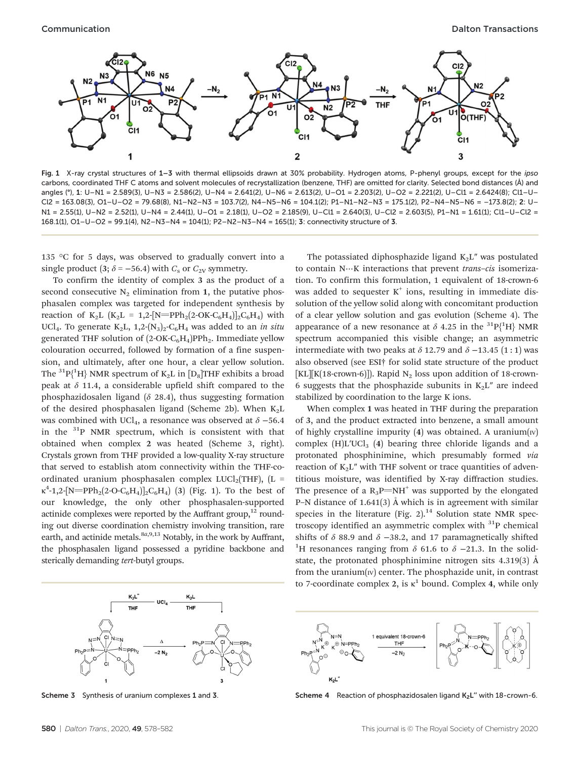

Fig. 1 X-ray crystal structures of 1-3 with thermal ellipsoids drawn at 30% probability. Hydrogen atoms, P-phenyl groups, except for the ipso carbons, coordinated THF C atoms and solvent molecules of recrystallization (benzene, THF) are omitted for clarity. Selected bond distances (Å) and angles (°), 1: U–N1 = 2.589(3), U–N3 = 2.586(2), U–N4 = 2.641(2), U–N6 = 2.613(2), U–O1 = 2.203(2), U–O2 = 2.221(2), U–Cl1 = 2.6424(8); Cl1–U– Cl2 = 163.08(3), O1–U–O2 = 79.68(8), N1–N2–N3 = 103.7(2), N4–N5–N6 = 104.1(2); P1–N1–N2–N3 = 175.1(2), P2–N4–N5–N6 = –173.8(2); 2: U– N1 = 2.55(1), U–N2 = 2.52(1), U–N4 = 2.44(1), U–O1 = 2.18(1), U–O2 = 2.185(9), U–Cl1 = 2.640(3), U–Cl2 = 2.603(5), P1–N1 = 1.61(1); Cl1–U–Cl2 = 168.1(1), O1–U–O2 = 99.1(4), N2–N3–N4 = 104(1); P2–N2–N3–N4 = 165(1); 3: connectivity structure of 3.

135 °C for 5 days, was observed to gradually convert into a single product (3;  $\delta$  = −56.4) with  $C_s$  or  $C_{2V}$  symmetry.

To confirm the identity of complex 3 as the product of a second consecutive  $N_2$  elimination from 1, the putative phosphasalen complex was targeted for independent synthesis by reaction of K<sub>2</sub>L (K<sub>2</sub>L = 1,2-[N=PPh<sub>2</sub>(2-OK-C<sub>6</sub>H<sub>4</sub>)]<sub>2</sub>C<sub>6</sub>H<sub>4</sub>) with UCl<sub>4</sub>. To generate K<sub>2</sub>L, 1,2-(N<sub>3</sub>)<sub>2</sub>-C<sub>6</sub>H<sub>4</sub> was added to an in situ generated THF solution of  $(2\text{-OK}-C_6H_4)PPh_2$ . Immediate yellow colouration occurred, followed by formation of a fine suspension, and ultimately, after one hour, a clear yellow solution. The  $\rm{^{31}P(^{1}H)}$  NMR spectrum of  $\rm{K_2L}$  in  $\rm{[D_8]}$ THF exhibits a broad peak at  $\delta$  11.4, a considerable upfield shift compared to the phosphazidosalen ligand ( $\delta$  28.4), thus suggesting formation of the desired phosphasalen ligand (Scheme 2b). When  $K<sub>2</sub>L$ was combined with UCl<sub>4</sub>, a resonance was observed at  $\delta$  –56.4 in the 31P NMR spectrum, which is consistent with that obtained when complex 2 was heated (Scheme 3, right). Crystals grown from THF provided a low-quality X-ray structure that served to establish atom connectivity within the THF-coordinated uranium phosphasalen complex  $LUCl<sub>2</sub>(THF)$ , (L =  $\kappa^4$ -1,2-[N=PPh<sub>2</sub>(2-O-C<sub>6</sub>H<sub>4</sub>)]<sub>2</sub>C<sub>6</sub>H<sub>4</sub>) (3) (Fig. 1). To the best of our knowledge, the only other phosphasalen-supported actinide complexes were reported by the Auffrant group, $12$  rounding out diverse coordination chemistry involving transition, rare earth, and actinide metals. $8a,9,13$  Notably, in the work by Auffrant, the phosphasalen ligand possessed a pyridine backbone and sterically demanding tert-butyl groups.



The potassiated diphosphazide ligand  $K<sub>2</sub>L''$  was postulated to contain N…K interactions that prevent trans-cis isomerization. To confirm this formulation, 1 equivalent of 18-crown-6 was added to sequester  $K^+$  ions, resulting in immediate dissolution of the yellow solid along with concomitant production of a clear yellow solution and gas evolution (Scheme 4). The appearance of a new resonance at  $\delta$  4.25 in the <sup>31</sup>P{<sup>1</sup>H} NMR spectrum accompanied this visible change; an asymmetric intermediate with two peaks at  $\delta$  12.79 and  $\delta$  −13.45 (1:1) was also observed (see ESI† for solid state structure of the product [KL][K(18-crown-6)]). Rapid N<sub>2</sub> loss upon addition of 18-crown-6 suggests that the phosphazide subunits in  $K_2L''$  are indeed stabilized by coordination to the large K ions.

When complex 1 was heated in THF during the preparation of 3, and the product extracted into benzene, a small amount of highly crystalline impurity  $(4)$  was obtained. A uranium $(w)$ complex  $(H)$ L'UCl<sub>3</sub> (4) bearing three chloride ligands and a protonated phosphinimine, which presumably formed via reaction of  $K_2L''$  with THF solvent or trace quantities of adventitious moisture, was identified by X-ray diffraction studies. The presence of a  $R_3P=NH^+$  was supported by the elongated P–N distance of 1.641(3) Å which is in agreement with similar species in the literature (Fig. 2). $14$  Solution state NMR spectroscopy identified an asymmetric complex with  $31P$  chemical shifts of  $\delta$  88.9 and  $\delta$  −38.2, and 17 paramagnetically shifted <sup>1</sup>H resonances ranging from  $\delta$  61.6 to  $\delta$  -21.3. In the solidstate, the protonated phosphinimine nitrogen sits 4.319(3) Å from the uranium $(w)$  center. The phosphazide unit, in contrast to 7-coordinate complex 2, is  $\kappa^1$  bound. Complex 4, while only



Scheme 3 Synthesis of uranium complexes 1 and 3. Scheme 4 Reaction of phosphazidosalen ligand K<sub>2</sub>L" with 18-crown-6.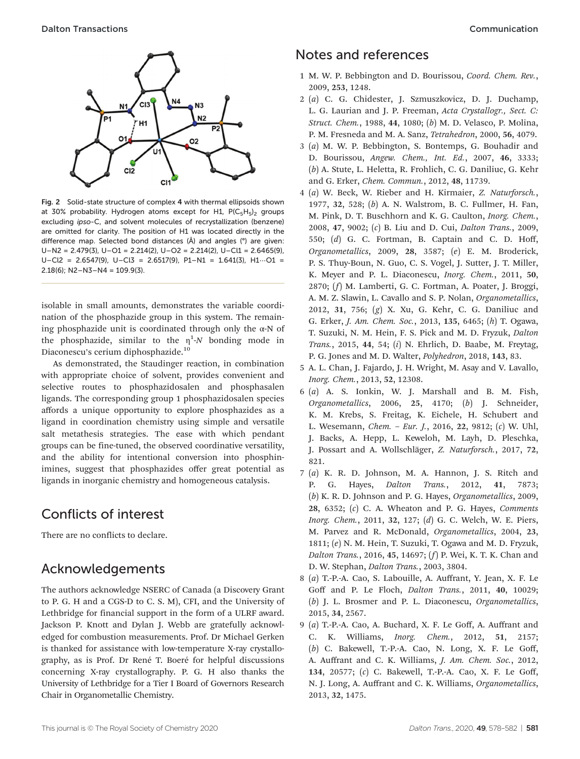

Fig. 2 Solid-state structure of complex 4 with thermal ellipsoids shown at 30% probability. Hydrogen atoms except for H1,  $P(C_5H_5)_2$  groups excluding ipso-C, and solvent molecules of recrystallization (benzene) are omitted for clarity. The position of H1 was located directly in the difference map. Selected bond distances (Å) and angles (°) are given:  $U-N2 = 2.479(3)$ ,  $U-O1 = 2.214(2)$ ,  $U-O2 = 2.214(2)$ ,  $U-C11 = 2.6465(9)$ ,  $U-C12 = 2.6547(9)$ ,  $U-C13 = 2.6517(9)$ ,  $P1-N1 = 1.641(3)$ ,  $H1\cdots O1 =$  $2.18(6)$ ; N2-N3-N4 = 109.9(3).

isolable in small amounts, demonstrates the variable coordination of the phosphazide group in this system. The remaining phosphazide unit is coordinated through only the  $\alpha$ -N of the phosphazide, similar to the  $\eta$ <sup>1</sup>-N bonding mode in Diaconescu's cerium diphosphazide.<sup>10</sup>

As demonstrated, the Staudinger reaction, in combination with appropriate choice of solvent, provides convenient and selective routes to phosphazidosalen and phosphasalen ligands. The corresponding group 1 phosphazidosalen species affords a unique opportunity to explore phosphazides as a ligand in coordination chemistry using simple and versatile salt metathesis strategies. The ease with which pendant groups can be fine-tuned, the observed coordinative versatility, and the ability for intentional conversion into phosphinimines, suggest that phosphazides offer great potential as ligands in inorganic chemistry and homogeneous catalysis.

### Conflicts of interest

There are no conflicts to declare.

#### Acknowledgements

The authors acknowledge NSERC of Canada (a Discovery Grant to P. G. H and a CGS-D to C. S. M), CFI, and the University of Lethbridge for financial support in the form of a ULRF award. Jackson P. Knott and Dylan J. Webb are gratefully acknowledged for combustion measurements. Prof. Dr Michael Gerken is thanked for assistance with low-temperature X-ray crystallography, as is Prof. Dr René T. Boeré for helpful discussions concerning X-ray crystallography. P. G. H also thanks the University of Lethbridge for a Tier I Board of Governors Research Chair in Organometallic Chemistry.

## Notes and references

- 1 M. W. P. Bebbington and D. Bourissou, Coord. Chem. Rev., 2009, 253, 1248.
- 2 (a) C. G. Chidester, J. Szmuszkovicz, D. J. Duchamp, L. G. Laurian and J. P. Freeman, Acta Crystallogr., Sect. C: Struct. Chem., 1988, 44, 1080; (b) M. D. Velasco, P. Molina, P. M. Fresneda and M. A. Sanz, Tetrahedron, 2000, 56, 4079.
- 3 (a) M. W. P. Bebbington, S. Bontemps, G. Bouhadir and D. Bourissou, Angew. Chem., Int. Ed., 2007, 46, 3333; (b) A. Stute, L. Heletta, R. Frohlich, C. G. Daniliuc, G. Kehr and G. Erker, Chem. Commun., 2012, 48, 11739.
- 4 (a) W. Beck, W. Rieber and H. Kirmaier, Z. Naturforsch., 1977, 32, 528; (b) A. N. Walstrom, B. C. Fullmer, H. Fan, M. Pink, D. T. Buschhorn and K. G. Caulton, Inorg. Chem., 2008, 47, 9002; (c) B. Liu and D. Cui, Dalton Trans., 2009, 550; (d) G. C. Fortman, B. Captain and C. D. Hoff, Organometallics, 2009, 28, 3587; (e) E. M. Broderick, P. S. Thuy-Boun, N. Guo, C. S. Vogel, J. Sutter, J. T. Miller, K. Meyer and P. L. Diaconescu, Inorg. Chem., 2011, 50, 2870; (f) M. Lamberti, G. C. Fortman, A. Poater, J. Broggi, A. M. Z. Slawin, L. Cavallo and S. P. Nolan, Organometallics, 2012, 31, 756; (g) X. Xu, G. Kehr, C. G. Daniliuc and G. Erker, J. Am. Chem. Soc., 2013, 135, 6465; (h) T. Ogawa, T. Suzuki, N. M. Hein, F. S. Pick and M. D. Fryzuk, Dalton Trans., 2015, 44, 54; (i) N. Ehrlich, D. Baabe, M. Freytag, P. G. Jones and M. D. Walter, Polyhedron, 2018, 143, 83.
- 5 A. L. Chan, J. Fajardo, J. H. Wright, M. Asay and V. Lavallo, Inorg. Chem., 2013, 52, 12308.
- 6 (a) A. S. Ionkin, W. J. Marshall and B. M. Fish, Organometallics, 2006, 25, 4170; (b) J. Schneider, K. M. Krebs, S. Freitag, K. Eichele, H. Schubert and L. Wesemann, Chem. – Eur. J., 2016, 22, 9812; (c) W. Uhl, J. Backs, A. Hepp, L. Keweloh, M. Layh, D. Pleschka, J. Possart and A. Wollschläger, Z. Naturforsch., 2017, 72, 821.
- 7 (a) K. R. D. Johnson, M. A. Hannon, J. S. Ritch and P. G. Hayes, Dalton Trans., 2012, 41, 7873; (b) K. R. D. Johnson and P. G. Hayes, Organometallics, 2009,  $28, 6352; (c)$  C. A. Wheaton and P. G. Hayes, *Comments* Inorg. Chem., 2011, 32, 127; (d) G. C. Welch, W. E. Piers, M. Parvez and R. McDonald, Organometallics, 2004, 23, 1811; (e) N. M. Hein, T. Suzuki, T. Ogawa and M. D. Fryzuk, Dalton Trans., 2016, 45, 14697; (f) P. Wei, K. T. K. Chan and D. W. Stephan, Dalton Trans., 2003, 3804.
- 8 (a) T.-P.-A. Cao, S. Labouille, A. Auffrant, Y. Jean, X. F. Le Goff and P. Le Floch, Dalton Trans., 2011, 40, 10029; (b) J. L. Brosmer and P. L. Diaconescu, Organometallics, 2015, 34, 2567.
- 9 (a) T.-P.-A. Cao, A. Buchard, X. F. Le Goff, A. Auffrant and C. K. Williams, Inorg. Chem., 2012, 51, 2157; (b) C. Bakewell, T.-P.-A. Cao, N. Long, X. F. Le Goff, A. Auffrant and C. K. Williams, J. Am. Chem. Soc., 2012, 134, 20577; (c) C. Bakewell, T.-P.-A. Cao, X. F. Le Goff, N. J. Long, A. Auffrant and C. K. Williams, Organometallics, 2013, 32, 1475.